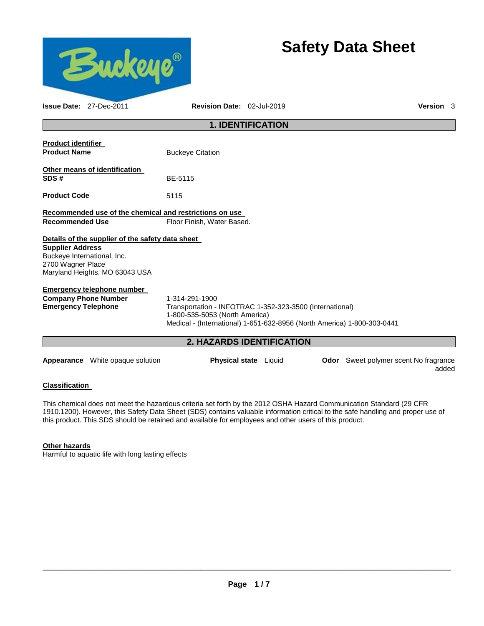

# **Safety Data Sheet**

|                                                  | <b>Issue Date: 27-Dec-2011</b>                                | Revision Date: 02-Jul-2019                                                                                                                                                              |  |                                              | Version 3 |  |
|--------------------------------------------------|---------------------------------------------------------------|-----------------------------------------------------------------------------------------------------------------------------------------------------------------------------------------|--|----------------------------------------------|-----------|--|
|                                                  |                                                               | <b>1. IDENTIFICATION</b>                                                                                                                                                                |  |                                              |           |  |
| <b>Product identifier</b><br><b>Product Name</b> |                                                               | <b>Buckeye Citation</b>                                                                                                                                                                 |  |                                              |           |  |
| SDS#                                             | Other means of identification                                 | BE-5115                                                                                                                                                                                 |  |                                              |           |  |
| <b>Product Code</b>                              |                                                               | 5115                                                                                                                                                                                    |  |                                              |           |  |
|                                                  |                                                               | Recommended use of the chemical and restrictions on use                                                                                                                                 |  |                                              |           |  |
| <b>Recommended Use</b>                           |                                                               | Floor Finish, Water Based.                                                                                                                                                              |  |                                              |           |  |
|                                                  | Details of the supplier of the safety data sheet              |                                                                                                                                                                                         |  |                                              |           |  |
| <b>Supplier Address</b><br>2700 Wagner Place     | Buckeye International, Inc.<br>Maryland Heights, MO 63043 USA |                                                                                                                                                                                         |  |                                              |           |  |
|                                                  | <b>Emergency telephone number</b>                             |                                                                                                                                                                                         |  |                                              |           |  |
| <b>Emergency Telephone</b>                       | <b>Company Phone Number</b>                                   | 1-314-291-1900<br>Transportation - INFOTRAC 1-352-323-3500 (International)<br>1-800-535-5053 (North America)<br>Medical - (International) 1-651-632-8956 (North America) 1-800-303-0441 |  |                                              |           |  |
|                                                  |                                                               | 2. HAZARDS IDENTIFICATION                                                                                                                                                               |  |                                              |           |  |
|                                                  | <b>Appearance</b> White opaque solution                       | <b>Physical state</b> Liquid                                                                                                                                                            |  | <b>Odor</b> Sweet polymer scent No fragrance | added     |  |

## **Classification**

This chemical does not meet the hazardous criteria set forth by the 2012 OSHA Hazard Communication Standard (29 CFR 1910.1200). However, this Safety Data Sheet (SDS) contains valuable information critical to the safe handling and proper use of this product. This SDS should be retained and available for employees and other users of this product.

## **Other hazards**

Harmful to aquatic life with long lasting effects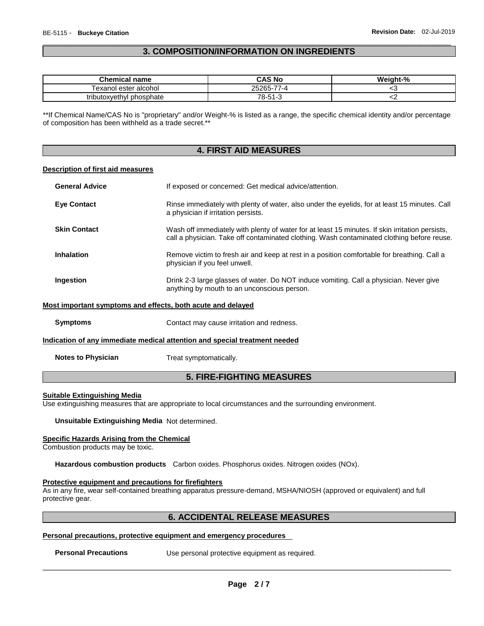## \_\_\_\_\_\_\_\_\_\_\_\_\_\_\_\_\_\_\_\_\_\_\_\_\_\_\_\_\_\_\_\_\_\_\_\_\_\_\_\_\_\_\_\_\_\_\_\_\_\_\_\_\_\_\_\_\_\_\_\_\_\_\_\_\_\_\_\_\_\_\_\_\_\_\_\_\_\_\_\_\_\_\_\_\_\_\_\_\_\_\_\_\_ **3. COMPOSITION/INFORMATION ON INGREDIENTS**

| <b>Chemical name</b>     | CAS No                           | Weight-% |
|--------------------------|----------------------------------|----------|
| Fexanol ester alcohol    | $\rightarrow$<br>25265-7<br>⊿۔ ≀ |          |
| tributoxyethyl phosphate | 78-51-3                          | ∽        |

\*\*If Chemical Name/CAS No is "proprietary" and/or Weight-% is listed as a range, the specific chemical identity and/or percentage of composition has been withheld as a trade secret.\*\*

## **4. FIRST AID MEASURES**

## **Description of first aid measures**

| <b>General Advice</b>                                       | If exposed or concerned: Get medical advice/attention.                                                                                                                                        |
|-------------------------------------------------------------|-----------------------------------------------------------------------------------------------------------------------------------------------------------------------------------------------|
| <b>Eye Contact</b>                                          | Rinse immediately with plenty of water, also under the eyelids, for at least 15 minutes. Call<br>a physician if irritation persists.                                                          |
| <b>Skin Contact</b>                                         | Wash off immediately with plenty of water for at least 15 minutes. If skin irritation persists,<br>call a physician. Take off contaminated clothing. Wash contaminated clothing before reuse. |
| <b>Inhalation</b>                                           | Remove victim to fresh air and keep at rest in a position comfortable for breathing. Call a<br>physician if you feel unwell.                                                                  |
| Ingestion                                                   | Drink 2-3 large glasses of water. Do NOT induce vomiting. Call a physician. Never give<br>anything by mouth to an unconscious person.                                                         |
| Most important symptoms and effects, both acute and delayed |                                                                                                                                                                                               |
| <b>Symptoms</b>                                             | Contact may cause irritation and redness.                                                                                                                                                     |
|                                                             | Indication of any immediate medical attention and special treatment needed                                                                                                                    |
| <b>Notes to Physician</b>                                   | Treat symptomatically.                                                                                                                                                                        |

## **5. FIRE-FIGHTING MEASURES**

#### **Suitable Extinguishing Media**

Use extinguishing measures that are appropriate to local circumstances and the surrounding environment.

**Unsuitable Extinguishing Media** Not determined.

## **Specific Hazards Arising from the Chemical**

Combustion products may be toxic.

**Hazardous combustion products** Carbon oxides. Phosphorus oxides. Nitrogen oxides (NOx).

#### **Protective equipment and precautions for firefighters**

As in any fire, wear self-contained breathing apparatus pressure-demand, MSHA/NIOSH (approved or equivalent) and full protective gear.

## **6. ACCIDENTAL RELEASE MEASURES**

## **Personal precautions, protective equipment and emergency procedures**

**Personal Precautions Use personal protective equipment as required.**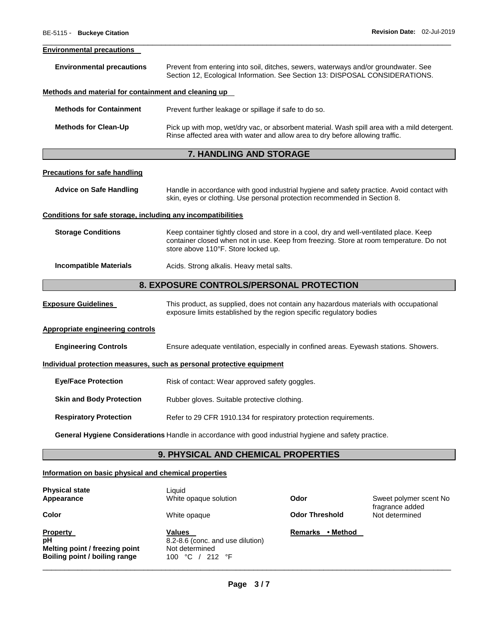#### **Environmental precautions**

| <b>Environmental precautions</b> | Prevent from entering into soil, ditches, sewers, waterways and/or groundwater. See<br>Section 12, Ecological Information. See Section 13: DISPOSAL CONSIDERATIONS. |
|----------------------------------|---------------------------------------------------------------------------------------------------------------------------------------------------------------------|
|                                  |                                                                                                                                                                     |

\_\_\_\_\_\_\_\_\_\_\_\_\_\_\_\_\_\_\_\_\_\_\_\_\_\_\_\_\_\_\_\_\_\_\_\_\_\_\_\_\_\_\_\_\_\_\_\_\_\_\_\_\_\_\_\_\_\_\_\_\_\_\_\_\_\_\_\_\_\_\_\_\_\_\_\_\_\_\_\_\_\_\_\_\_\_\_\_\_\_\_\_\_

## **Methods and material for containment and cleaning up**

| <b>Methods for Containment</b> | Prevent further leakage or spillage if safe to do so.                                                                                                                         |  |
|--------------------------------|-------------------------------------------------------------------------------------------------------------------------------------------------------------------------------|--|
| <b>Methods for Clean-Up</b>    | Pick up with mop, wet/dry vac, or absorbent material. Wash spill area with a mild detergent.<br>Rinse affected area with water and allow area to dry before allowing traffic. |  |

## **7. HANDLING AND STORAGE**

#### **Precautions for safe handling**

**Advice on Safe Handling** Handle in accordance with good industrial hygiene and safety practice. Avoid contact with skin, eyes or clothing. Use personal protection recommended in Section 8.

#### **Conditions for safe storage, including any incompatibilities**

**Storage Conditions** Keep container tightly closed and store in a cool, dry and well-ventilated place. Keep container closed when not in use. Keep from freezing. Store at room temperature. Do not store above 110°F. Store locked up.

## **Incompatible Materials Acids. Strong alkalis. Heavy metal salts.**

## **8. EXPOSURE CONTROLS/PERSONAL PROTECTION**

**Exposure Guidelines** This product, as supplied, does not contain any hazardous materials with occupational exposure limits established by the region specific regulatory bodies

## **Appropriate engineering controls**

**Engineering Controls** Ensure adequate ventilation, especially in confined areas. Eyewash stations. Showers.

## **Individual protection measures, such as personal protective equipment**

| <b>Eye/Face Protection</b> | Risk of contact: Wear approved safety goggles. |
|----------------------------|------------------------------------------------|
|                            |                                                |

## **Skin and Body Protection** Rubber gloves. Suitable protective clothing.

**Respiratory Protection Refer to 29 CFR 1910.134 for respiratory protection requirements.** 

**General Hygiene Considerations** Handle in accordance with good industrial hygiene and safety practice.

## **9. PHYSICAL AND CHEMICAL PROPERTIES**

## **Information on basic physical and chemical properties**

| <b>Physical state</b><br>Appearance                                                      | Liauid<br>White opaque solution                                                      | Odor                       | Sweet polymer scent No            |
|------------------------------------------------------------------------------------------|--------------------------------------------------------------------------------------|----------------------------|-----------------------------------|
| Color                                                                                    | White opaque                                                                         | <b>Odor Threshold</b>      | fragrance added<br>Not determined |
| Property<br>pН<br>Melting point / freezing point<br><b>Boiling point / boiling range</b> | Values<br>8.2-8.6 (conc. and use dilution)<br>Not determined<br>212 °F<br>°C<br>100. | • Method<br><b>Remarks</b> |                                   |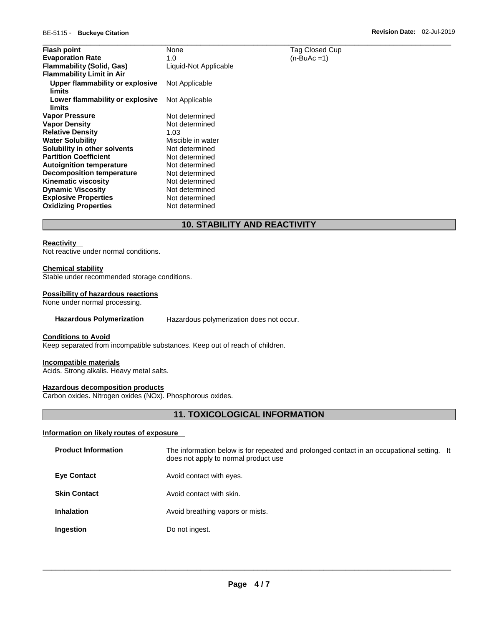| <b>Flash point</b>                        | None                  | Tag Closed Cup |
|-------------------------------------------|-----------------------|----------------|
| <b>Evaporation Rate</b>                   | 1.0                   | $(n-BuAc=1)$   |
| <b>Flammability (Solid, Gas)</b>          | Liquid-Not Applicable |                |
| <b>Flammability Limit in Air</b>          |                       |                |
| Upper flammability or explosive<br>limits | Not Applicable        |                |
| Lower flammability or explosive<br>limits | Not Applicable        |                |
| Vapor Pressure                            | Not determined        |                |
| <b>Vapor Density</b>                      | Not determined        |                |
| <b>Relative Density</b>                   | 1.03                  |                |
| <b>Water Solubility</b>                   | Miscible in water     |                |
| Solubility in other solvents              | Not determined        |                |
| <b>Partition Coefficient</b>              | Not determined        |                |
| <b>Autoignition temperature</b>           | Not determined        |                |
| <b>Decomposition temperature</b>          | Not determined        |                |
| <b>Kinematic viscosity</b>                | Not determined        |                |
| <b>Dynamic Viscosity</b>                  | Not determined        |                |
| <b>Explosive Properties</b>               | Not determined        |                |
| <b>Oxidizing Properties</b>               | Not determined        |                |

## **10. STABILITY AND REACTIVITY**

## **Reactivity**

Not reactive under normal conditions.

#### **Chemical stability**

Stable under recommended storage conditions.

#### **Possibility of hazardous reactions**

None under normal processing.

## **Hazardous Polymerization** Hazardous polymerization does not occur.

#### **Conditions to Avoid**

Keep separated from incompatible substances. Keep out of reach of children.

#### **Incompatible materials**

Acids. Strong alkalis. Heavy metal salts.

## **Hazardous decomposition products**

Carbon oxides. Nitrogen oxides (NOx). Phosphorous oxides.

## **11. TOXICOLOGICAL INFORMATION**

## **Information on likely routes of exposure**

| <b>Product Information</b> | The information below is for repeated and prolonged contact in an occupational setting. It<br>does not apply to normal product use |  |
|----------------------------|------------------------------------------------------------------------------------------------------------------------------------|--|
| <b>Eye Contact</b>         | Avoid contact with eyes.                                                                                                           |  |
| <b>Skin Contact</b>        | Avoid contact with skin.                                                                                                           |  |
| <b>Inhalation</b>          | Avoid breathing vapors or mists.                                                                                                   |  |
| Ingestion                  | Do not ingest.                                                                                                                     |  |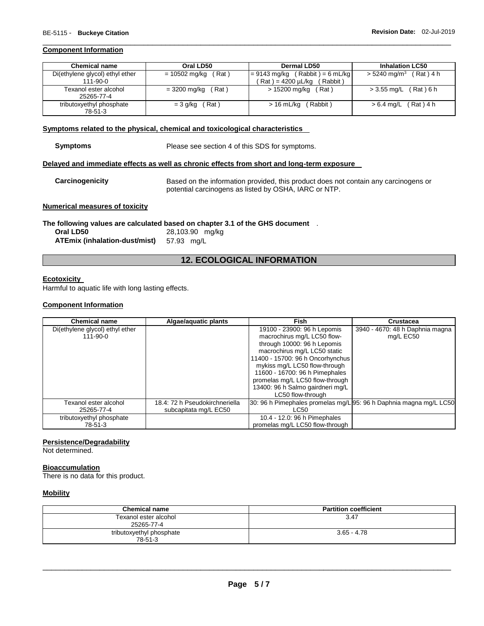## **Component Information**

| <b>Chemical name</b>                              | Oral LD50               | <b>Dermal LD50</b>                                                  | <b>Inhalation LC50</b>            |
|---------------------------------------------------|-------------------------|---------------------------------------------------------------------|-----------------------------------|
| Di(ethylene glycol) ethyl ether<br>$111 - 90 - 0$ | = 10502 mg/kg<br>(Rat)  | $= 9143$ mg/kg (Rabbit) = 6 mL/kg<br>Pat ) = 4200 µL/kg<br>(Rabbit) | $> 5240 \text{ mg/m}^3$ (Rat) 4 h |
| Texanol ester alcohol<br>25265-77-4               | (Rat)<br>$= 3200$ mg/kg | > 15200 mg/kg (Rat)                                                 | (Rat)6h<br>> 3.55 mg/L            |
| tributoxyethyl phosphate<br>78-51-3               | $= 3$ g/kg (Rat)        | Rabbit)<br>$>16$ mL/kg                                              | $> 6.4$ mg/L (Rat) 4 h            |

\_\_\_\_\_\_\_\_\_\_\_\_\_\_\_\_\_\_\_\_\_\_\_\_\_\_\_\_\_\_\_\_\_\_\_\_\_\_\_\_\_\_\_\_\_\_\_\_\_\_\_\_\_\_\_\_\_\_\_\_\_\_\_\_\_\_\_\_\_\_\_\_\_\_\_\_\_\_\_\_\_\_\_\_\_\_\_\_\_\_\_\_\_

## **Symptoms related to the physical, chemical and toxicological characteristics**

Please see section 4 of this SDS for symptoms.

#### **Delayed and immediate effects as well as chronic effects from short and long-term exposure**

**Carcinogenicity** Based on the information provided, this product does not contain any carcinogens or potential carcinogens as listed by OSHA, IARC or NTP.

## **Numerical measures of toxicity**

**The following values are calculated based on chapter 3.1 of the GHS document** .

**Oral LD50** 28,103.90 mg/kg **ATEmix (inhalation-dust/mist)** 57.93 mg/L

## **12. ECOLOGICAL INFORMATION**

#### **Ecotoxicity**

Harmful to aquatic life with long lasting effects.

## **Component Information**

| <b>Chemical name</b>            | Algae/aquatic plants           | Fish                                                               | Crustacea                       |
|---------------------------------|--------------------------------|--------------------------------------------------------------------|---------------------------------|
| Di(ethylene glycol) ethyl ether |                                | 19100 - 23900: 96 h Lepomis                                        | 3940 - 4670: 48 h Daphnia magna |
| $111 - 90 - 0$                  |                                | macrochirus mg/L LC50 flow-                                        | mg/L EC50                       |
|                                 |                                | through 10000: 96 h Lepomis                                        |                                 |
|                                 |                                | macrochirus mg/L LC50 static                                       |                                 |
|                                 |                                | 11400 - 15700: 96 h Oncorhynchus                                   |                                 |
|                                 |                                | mykiss mg/L LC50 flow-through                                      |                                 |
|                                 |                                | 11600 - 16700: 96 h Pimephales                                     |                                 |
|                                 |                                | promelas mg/L LC50 flow-through                                    |                                 |
|                                 |                                | 13400: 96 h Salmo gairdneri mg/L                                   |                                 |
|                                 |                                | LC50 flow-through                                                  |                                 |
| Texanol ester alcohol           | 18.4: 72 h Pseudokirchneriella | 30: 96 h Pimephales promelas mg/L 95: 96 h Daphnia magna mg/L LC50 |                                 |
| 25265-77-4                      | subcapitata mg/L EC50          | LC50                                                               |                                 |
| tributoxyethyl phosphate        |                                | 10.4 - 12.0: 96 h Pimephales                                       |                                 |
| 78-51-3                         |                                | promelas mg/L LC50 flow-through                                    |                                 |

## **Persistence/Degradability**

Not determined.

## **Bioaccumulation**

There is no data for this product.

## **Mobility**

| <b>Chemical name</b>                | <b>Partition coefficient</b> |
|-------------------------------------|------------------------------|
| Texanol ester alcohol<br>25265-77-4 | 3.47                         |
| tributoxyethyl phosphate<br>78-51-3 | $3.65 - 4.78$                |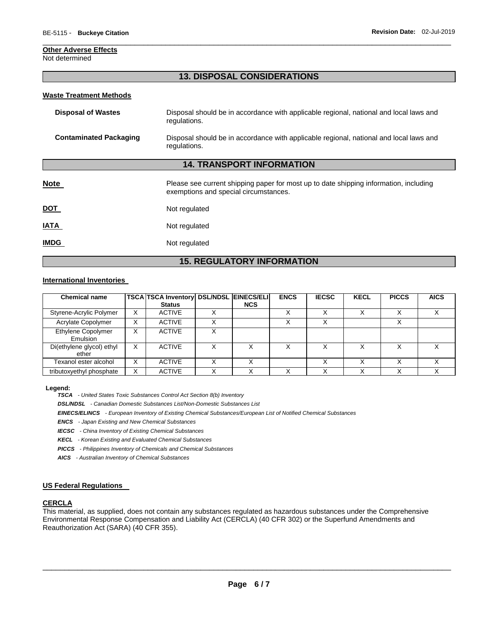## **Other Adverse Effects**

Not determined

## **13. DISPOSAL CONSIDERATIONS**

\_\_\_\_\_\_\_\_\_\_\_\_\_\_\_\_\_\_\_\_\_\_\_\_\_\_\_\_\_\_\_\_\_\_\_\_\_\_\_\_\_\_\_\_\_\_\_\_\_\_\_\_\_\_\_\_\_\_\_\_\_\_\_\_\_\_\_\_\_\_\_\_\_\_\_\_\_\_\_\_\_\_\_\_\_\_\_\_\_\_\_\_\_

## **Waste Treatment Methods**

| Disposal of Wastes     | Disposal should be in accordance with applicable regional, national and local laws and<br>regulations. |
|------------------------|--------------------------------------------------------------------------------------------------------|
| Contaminated Packaging | Disposal should be in accordance with applicable regional, national and local laws and<br>regulations. |

## **14. TRANSPORT INFORMATION**

| <b>Note</b> | Please see current shipping paper for most up to date shipping information, including<br>exemptions and special circumstances. |
|-------------|--------------------------------------------------------------------------------------------------------------------------------|
| <u>DOT</u>  | Not regulated                                                                                                                  |
| <b>IATA</b> | Not regulated                                                                                                                  |
| <b>IMDG</b> | Not regulated                                                                                                                  |

## **15. REGULATORY INFORMATION**

## **International Inventories**

| <b>Chemical name</b>               |   | TSCA TSCA Inventory DSL/NDSL EINECS/ELI |            | <b>ENCS</b> | <b>IECSC</b> | <b>KECL</b>  | <b>PICCS</b> | <b>AICS</b>  |
|------------------------------------|---|-----------------------------------------|------------|-------------|--------------|--------------|--------------|--------------|
|                                    |   | <b>Status</b>                           | <b>NCS</b> |             |              |              |              |              |
| Styrene-Acrylic Polymer            | X | <b>ACTIVE</b>                           |            |             |              |              |              |              |
| Acrylate Copolymer                 | X | <b>ACTIVE</b>                           |            |             |              |              | ⌒            |              |
| Ethylene Copolymer<br>Emulsion     |   | <b>ACTIVE</b>                           |            |             |              |              |              |              |
| Di(ethylene glycol) ethyl<br>ether | х | <b>ACTIVE</b>                           |            |             |              |              |              |              |
| Texanol ester alcohol              | х | <b>ACTIVE</b>                           |            |             |              |              |              |              |
| tributoxyethyl phosphate           | X | <b>ACTIVE</b>                           |            |             |              | $\checkmark$ |              | $\checkmark$ |

#### **Legend:**

*TSCA - United States Toxic Substances Control Act Section 8(b) Inventory* 

*DSL/NDSL - Canadian Domestic Substances List/Non-Domestic Substances List* 

*EINECS/ELINCS - European Inventory of Existing Chemical Substances/European List of Notified Chemical Substances* 

*ENCS - Japan Existing and New Chemical Substances* 

*IECSC - China Inventory of Existing Chemical Substances* 

*KECL - Korean Existing and Evaluated Chemical Substances* 

*PICCS - Philippines Inventory of Chemicals and Chemical Substances* 

*AICS - Australian Inventory of Chemical Substances* 

## **US Federal Regulations**

## **CERCLA**

This material, as supplied, does not contain any substances regulated as hazardous substances under the Comprehensive Environmental Response Compensation and Liability Act (CERCLA) (40 CFR 302) or the Superfund Amendments and Reauthorization Act (SARA) (40 CFR 355).